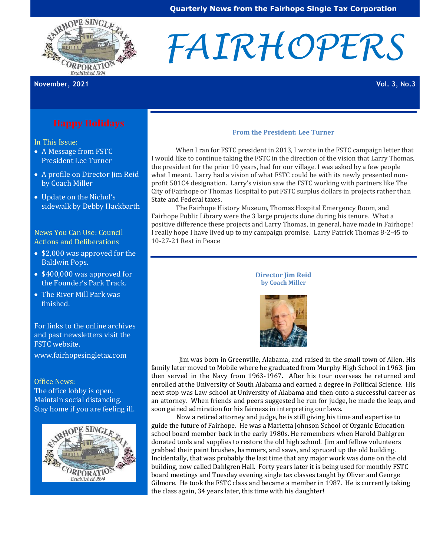

# *FAIRHOPERS*

**November, 2021 Vol. 3, No.3**

In This Issue:

- A Message from FSTC President Lee Turner
- A profile on Director Jim Reid by Coach Miller
- Update on the Nichol's sidewalk by Debby Hackbarth

News You Can Use: Council Actions and Deliberations

- \$2,000 was approved for the Baldwin Pops.
- \$400,000 was approved for the Founder's Park Track.
- The River Mill Park was finished.

For links to the online archives and past newsletters visit the FSTC website.

[www.fairhopesingletax.com](http://www.fairhopesingletax.com/)

Office News: The office lobby is open. Maintain social distancing. Stay home if you are feeling ill.



#### **From the President: Lee Turner**

 When I ran for FSTC president in 2013, I wrote in the FSTC campaign letter that I would like to continue taking the FSTC in the direction of the vision that Larry Thomas, the president for the prior 10 years, had for our village. I was asked by a few people what I meant. Larry had a vision of what FSTC could be with its newly presented nonprofit 501C4 designation. Larry's vision saw the FSTC working with partners like The City of Fairhope or Thomas Hospital to put FSTC surplus dollars in projects rather than State and Federal taxes.

 The Fairhope History Museum, Thomas Hospital Emergency Room, and Fairhope Public Library were the 3 large projects done during his tenure. What a positive difference these projects and Larry Thomas, in general, have made in Fairhope! I really hope I have lived up to my campaign promise. Larry Patrick Thomas 8-2-45 to 10-27-21 Rest in Peace



 Jim was born in Greenville, Alabama, and raised in the small town of Allen. His family later moved to Mobile where he graduated from Murphy High School in 1963. Jim then served in the Navy from 1963-1967. After his tour overseas he returned and enrolled at the University of South Alabama and earned a degree in Political Science. His next stop was Law school at University of Alabama and then onto a successful career as an attorney. When friends and peers suggested he run for judge, he made the leap, and soon gained admiration for his fairness in interpreting our laws.

Now a retired attorney and judge, he is still giving his time and expertise to guide the future of Fairhope. He was a Marietta Johnson School of Organic Education school board member back in the early 1980s. He remembers when Harold Dahlgren donated tools and supplies to restore the old high school. Jim and fellow volunteers grabbed their paint brushes, hammers, and saws, and spruced up the old building. Incidentally, that was probably the last time that any major work was done on the old building, now called Dahlgren Hall. Forty years later it is being used for monthly FSTC board meetings and Tuesday evening single tax classes taught by Oliver and George Gilmore. He took the FSTC class and became a member in 1987. He is currently taking the class again, 34 years later, this time with his daughter!